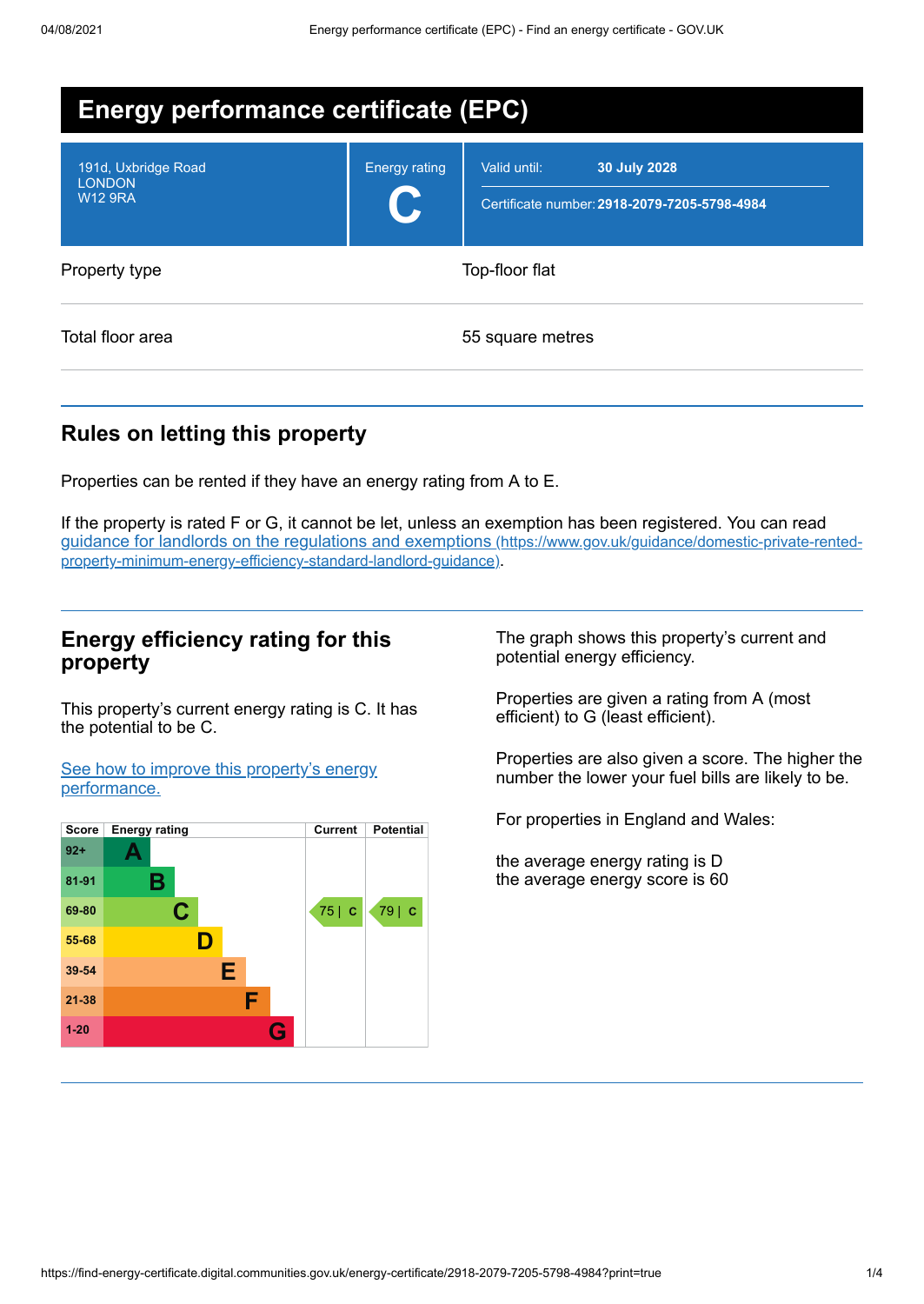| <b>Energy performance certificate (EPC)</b>            |                      |                                                                              |  |  |  |
|--------------------------------------------------------|----------------------|------------------------------------------------------------------------------|--|--|--|
| 191d, Uxbridge Road<br><b>LONDON</b><br><b>W12 9RA</b> | <b>Energy rating</b> | 30 July 2028<br>Valid until:<br>Certificate number: 2918-2079-7205-5798-4984 |  |  |  |
| Property type                                          | Top-floor flat       |                                                                              |  |  |  |
| Total floor area                                       |                      | 55 square metres                                                             |  |  |  |

## **Rules on letting this property**

Properties can be rented if they have an energy rating from A to E.

If the property is rated F or G, it cannot be let, unless an exemption has been registered. You can read guidance for landlords on the regulations and exemptions (https://www.gov.uk/guidance/domestic-private-rented[property-minimum-energy-efficiency-standard-landlord-guidance\)](https://www.gov.uk/guidance/domestic-private-rented-property-minimum-energy-efficiency-standard-landlord-guidance).

### **Energy efficiency rating for this property**

This property's current energy rating is C. It has the potential to be C.

See how to improve this property's energy [performance.](#page-2-0)



The graph shows this property's current and potential energy efficiency.

Properties are given a rating from A (most efficient) to G (least efficient).

Properties are also given a score. The higher the number the lower your fuel bills are likely to be.

For properties in England and Wales:

the average energy rating is D the average energy score is 60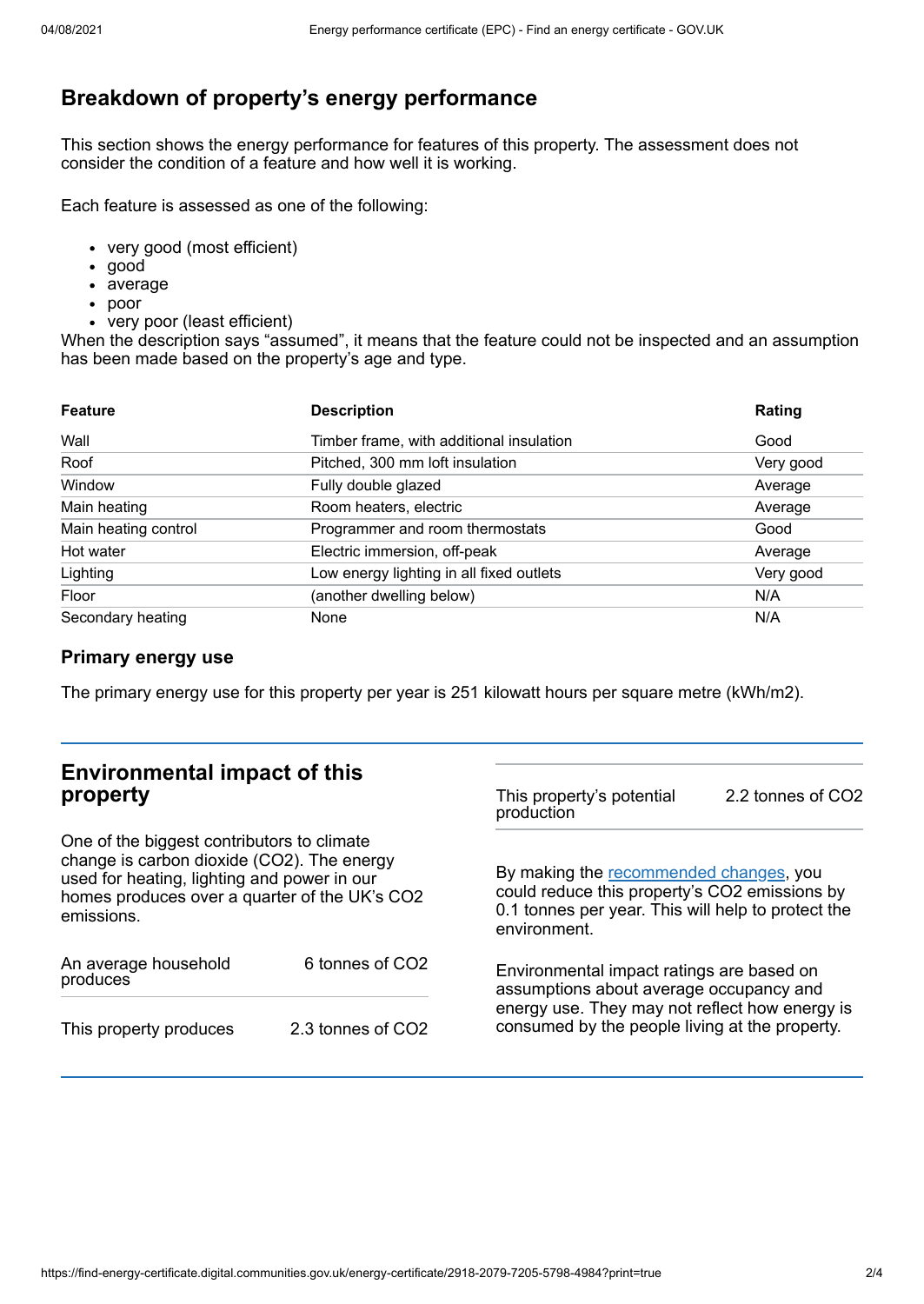# **Breakdown of property's energy performance**

This section shows the energy performance for features of this property. The assessment does not consider the condition of a feature and how well it is working.

Each feature is assessed as one of the following:

- very good (most efficient)
- good
- average
- poor
- very poor (least efficient)

When the description says "assumed", it means that the feature could not be inspected and an assumption has been made based on the property's age and type.

| <b>Feature</b>       | <b>Description</b>                       | Rating    |
|----------------------|------------------------------------------|-----------|
| Wall                 | Timber frame, with additional insulation | Good      |
| Roof                 | Pitched, 300 mm loft insulation          | Very good |
| Window               | Fully double glazed                      | Average   |
| Main heating         | Room heaters, electric                   | Average   |
| Main heating control | Programmer and room thermostats          | Good      |
| Hot water            | Electric immersion, off-peak             | Average   |
| Lighting             | Low energy lighting in all fixed outlets | Very good |
| Floor                | (another dwelling below)                 | N/A       |
| Secondary heating    | None                                     | N/A       |

### **Primary energy use**

The primary energy use for this property per year is 251 kilowatt hours per square metre (kWh/m2).

| <b>Environmental impact of this</b><br>property<br>One of the biggest contributors to climate<br>change is carbon dioxide (CO2). The energy<br>used for heating, lighting and power in our<br>homes produces over a quarter of the UK's CO2<br>emissions. |                   | This property's potential<br>production                                                                                                                                                  | 2.2 tonnes of CO2 |
|-----------------------------------------------------------------------------------------------------------------------------------------------------------------------------------------------------------------------------------------------------------|-------------------|------------------------------------------------------------------------------------------------------------------------------------------------------------------------------------------|-------------------|
|                                                                                                                                                                                                                                                           |                   | By making the recommended changes, you<br>could reduce this property's CO2 emissions by<br>0.1 tonnes per year. This will help to protect the<br>environment.                            |                   |
| An average household<br>produces                                                                                                                                                                                                                          | 6 tonnes of CO2   | Environmental impact ratings are based on<br>assumptions about average occupancy and<br>energy use. They may not reflect how energy is<br>consumed by the people living at the property. |                   |
| This property produces                                                                                                                                                                                                                                    | 2.3 tonnes of CO2 |                                                                                                                                                                                          |                   |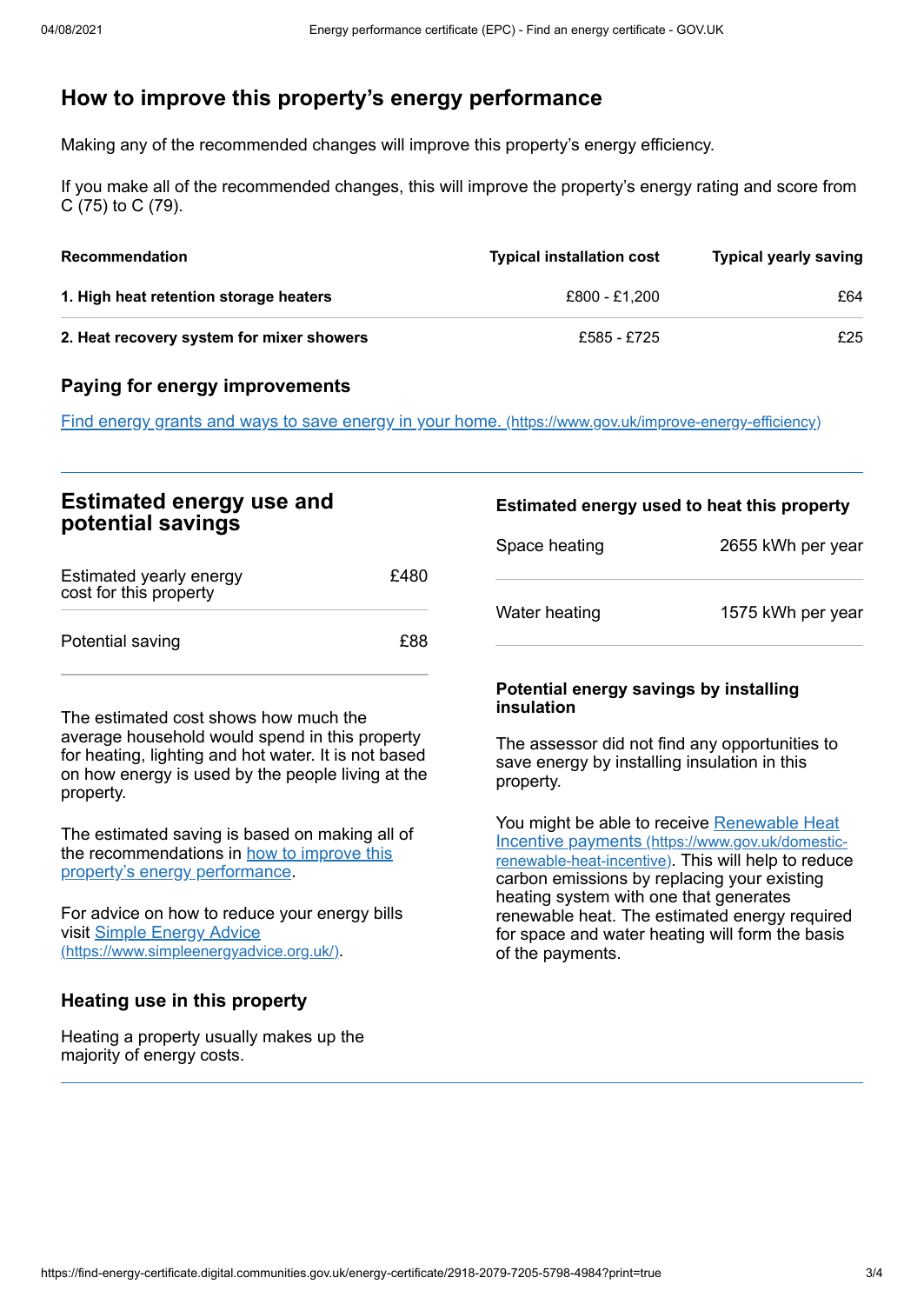## <span id="page-2-0"></span>**How to improve this property's energy performance**

Making any of the recommended changes will improve this property's energy efficiency.

If you make all of the recommended changes, this will improve the property's energy rating and score from C (75) to C (79).

| <b>Recommendation</b>                     | <b>Typical installation cost</b> | <b>Typical yearly saving</b> |
|-------------------------------------------|----------------------------------|------------------------------|
| 1. High heat retention storage heaters    | £800 - £1.200                    | £64                          |
| 2. Heat recovery system for mixer showers | £585 - £725                      | £25                          |

### **Paying for energy improvements**

Find energy grants and ways to save energy in your home. [\(https://www.gov.uk/improve-energy-efficiency\)](https://www.gov.uk/improve-energy-efficiency)

| <b>Estimated energy use and</b><br>potential savings |      | Estimated energy used to heat this property |                   |
|------------------------------------------------------|------|---------------------------------------------|-------------------|
|                                                      |      | Space heating                               | 2655 kWh per year |
| Estimated yearly energy<br>cost for this property    | £480 |                                             |                   |
| Potential saving                                     | £88  | Water heating                               | 1575 kWh per year |

The estimated cost shows how much the average household would spend in this property for heating, lighting and hot water. It is not based on how energy is used by the people living at the property.

The estimated saving is based on making all of the [recommendations](#page-2-0) in how to improve this property's energy performance.

For advice on how to reduce your energy bills visit Simple Energy Advice [\(https://www.simpleenergyadvice.org.uk/\)](https://www.simpleenergyadvice.org.uk/).

### **Heating use in this property**

Heating a property usually makes up the majority of energy costs.

#### **Potential energy savings by installing insulation**

The assessor did not find any opportunities to save energy by installing insulation in this property.

You might be able to receive Renewable Heat Incentive payments [\(https://www.gov.uk/domestic](https://www.gov.uk/domestic-renewable-heat-incentive)renewable-heat-incentive). This will help to reduce carbon emissions by replacing your existing heating system with one that generates renewable heat. The estimated energy required for space and water heating will form the basis of the payments.